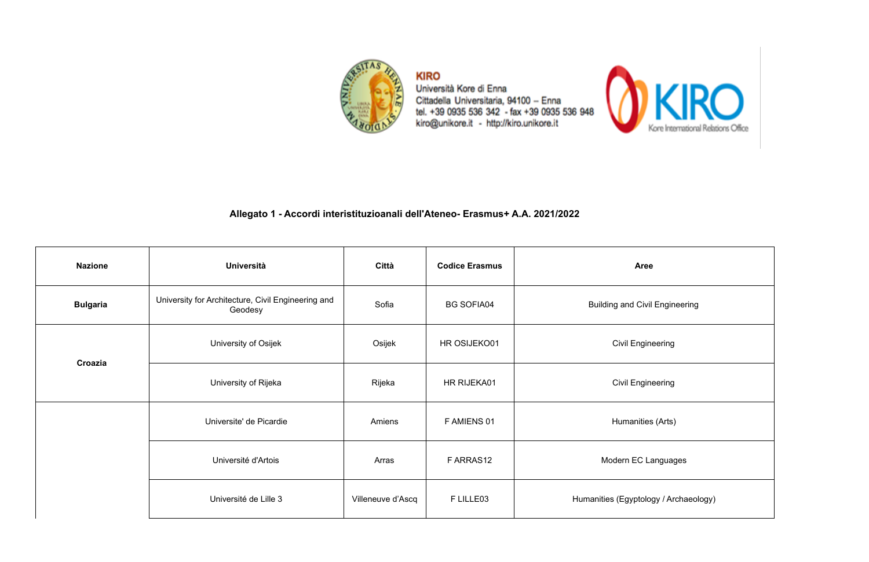

**KIRO** Università Kore di Enna Cittadella Universitaria, 94100 - Enna<br>tel. +39 0935 536 342 - fax +39 0935 536 948<br>kiro@unikore.it - http://kiro.unikore.it



| <b>Nazione</b>  | <b>Università</b>                                             | Città             | <b>Codice Erasmus</b> | <b>Aree</b>                           |  |
|-----------------|---------------------------------------------------------------|-------------------|-----------------------|---------------------------------------|--|
| <b>Bulgaria</b> | University for Architecture, Civil Engineering and<br>Geodesy | Sofia             | <b>BG SOFIA04</b>     | <b>Building and Civil Engineering</b> |  |
| Croazia         | University of Osijek                                          | Osijek            | HR OSIJEKO01          | <b>Civil Engineering</b>              |  |
|                 | University of Rijeka                                          | Rijeka            | HR RIJEKA01           | <b>Civil Engineering</b>              |  |
|                 | Universite' de Picardie                                       | Amiens            | F AMIENS 01           | Humanities (Arts)                     |  |
|                 | Université d'Artois                                           | Arras             | FARRAS12              | Modern EC Languages                   |  |
|                 | Université de Lille 3                                         | Villeneuve d'Ascq | F LILLE03             | Humanities (Egyptology / Archaeology) |  |

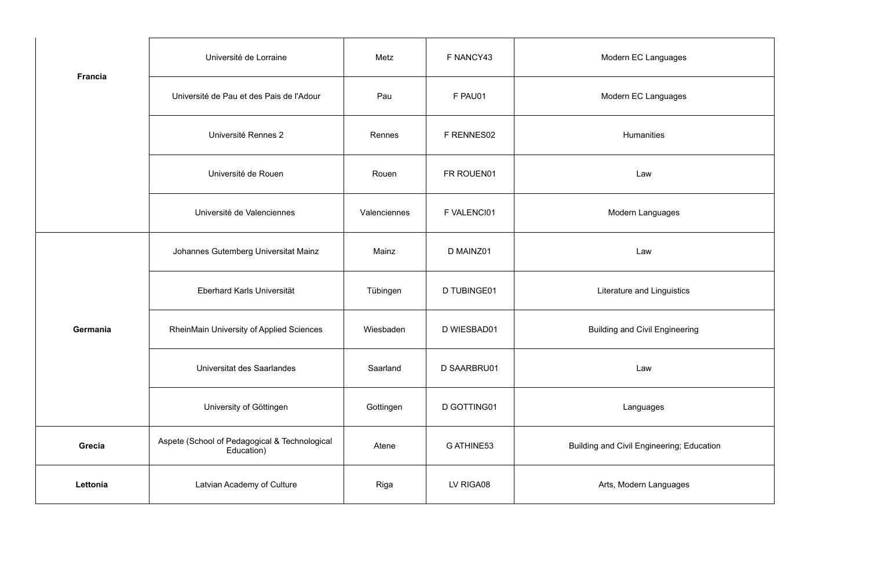|                | Université de Lorraine                                      | Metz         | F NANCY43   | Modern EC Languages                       |
|----------------|-------------------------------------------------------------|--------------|-------------|-------------------------------------------|
| <b>Francia</b> | Université de Pau et des Pais de l'Adour                    | Pau          | F PAU01     | Modern EC Languages                       |
|                | Université Rennes 2                                         | Rennes       | F RENNES02  | Humanities                                |
|                | Université de Rouen                                         | Rouen        | FR ROUEN01  | Law                                       |
|                | Université de Valenciennes                                  | Valenciennes | F VALENCI01 | Modern Languages                          |
|                | Johannes Gutemberg Universitat Mainz                        | Mainz        | D MAINZ01   | Law                                       |
|                | Eberhard Karls Universität                                  | Tübingen     | D TUBINGE01 | Literature and Linguistics                |
| Germania       | RheinMain University of Applied Sciences                    | Wiesbaden    | D WIESBAD01 | <b>Building and Civil Engineering</b>     |
|                | Universitat des Saarlandes                                  | Saarland     | D SAARBRU01 | Law                                       |
|                | University of Göttingen                                     | Gottingen    | D GOTTING01 | Languages                                 |
| Grecia         | Aspete (School of Pedagogical & Technological<br>Education) | Atene        | G ATHINE53  | Building and Civil Engineering; Education |
| Lettonia       | Latvian Academy of Culture                                  | Riga         | LV RIGA08   | Arts, Modern Languages                    |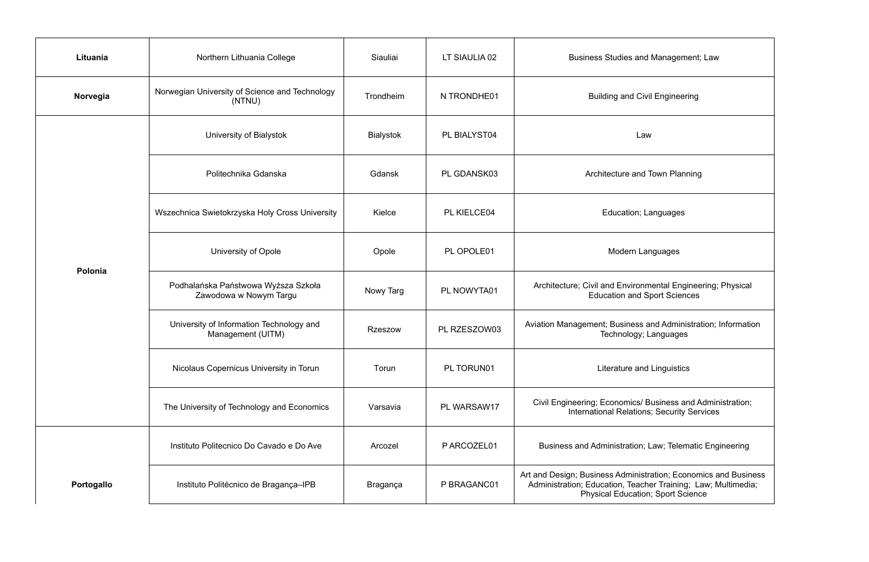| Lituania   | Northern Lithuania College                                    | Siauliai         | LT SIAULIA 02 | <b>Business Studies and Management; Law</b>                                                                                                                                  |  |
|------------|---------------------------------------------------------------|------------------|---------------|------------------------------------------------------------------------------------------------------------------------------------------------------------------------------|--|
| Norvegia   | Norwegian University of Science and Technology<br>(NTNU)      | Trondheim        | N TRONDHE01   | <b>Building and Civil Engineering</b>                                                                                                                                        |  |
|            | University of Bialystok                                       | <b>Bialystok</b> | PL BIALYST04  | Law                                                                                                                                                                          |  |
|            | Politechnika Gdanska                                          | Gdansk           | PL GDANSK03   | Architecture and Town Planning                                                                                                                                               |  |
|            | Wszechnica Swietokrzyska Holy Cross University                | Kielce           | PL KIELCE04   | Education; Languages                                                                                                                                                         |  |
|            | University of Opole                                           | Opole            | PL OPOLE01    | Modern Languages                                                                                                                                                             |  |
| Polonia    | Podhalańska Państwowa Wyższa Szkoła<br>Zawodowa w Nowym Targu | Nowy Targ        | PL NOWYTA01   | Architecture; Civil and Environmental Engineering; Physical<br><b>Education and Sport Sciences</b>                                                                           |  |
|            | University of Information Technology and<br>Management (UITM) | <b>Rzeszow</b>   | PL RZESZOW03  | Aviation Management; Business and Administration; Information<br>Technology; Languages                                                                                       |  |
|            | Nicolaus Copernicus University in Torun                       | Torun            | PL TORUN01    | Literature and Linguistics                                                                                                                                                   |  |
|            | The University of Technology and Economics                    | Varsavia         | PL WARSAW17   | Civil Engineering; Economics/ Business and Administration;<br><b>International Relations; Security Services</b>                                                              |  |
|            | Instituto Politecnico Do Cavado e Do Ave                      | Arcozel          | PARCOZEL01    | Business and Administration; Law; Telematic Engineering                                                                                                                      |  |
| Portogallo | Instituto Politécnico de Bragança-IPB                         | Bragança         | P BRAGANC01   | Art and Design; Business Administration; Economics and Business<br>Administration; Education, Teacher Training; Law; Multimedia;<br><b>Physical Education; Sport Science</b> |  |

| <b>Business Studies and Management; Law</b>                                                                                                                                  |
|------------------------------------------------------------------------------------------------------------------------------------------------------------------------------|
| <b>Building and Civil Engineering</b>                                                                                                                                        |
| Law                                                                                                                                                                          |
| Architecture and Town Planning                                                                                                                                               |
| Education; Languages                                                                                                                                                         |
| Modern Languages                                                                                                                                                             |
| Architecture; Civil and Environmental Engineering; Physical<br><b>Education and Sport Sciences</b>                                                                           |
| Aviation Management; Business and Administration; Information<br>Technology; Languages                                                                                       |
| Literature and Linguistics                                                                                                                                                   |
| Civil Engineering; Economics/ Business and Administration;<br><b>International Relations; Security Services</b>                                                              |
| Business and Administration; Law; Telematic Engineering                                                                                                                      |
| Art and Design; Business Administration; Economics and Business<br>Administration; Education, Teacher Training; Law; Multimedia;<br><b>Physical Education; Sport Science</b> |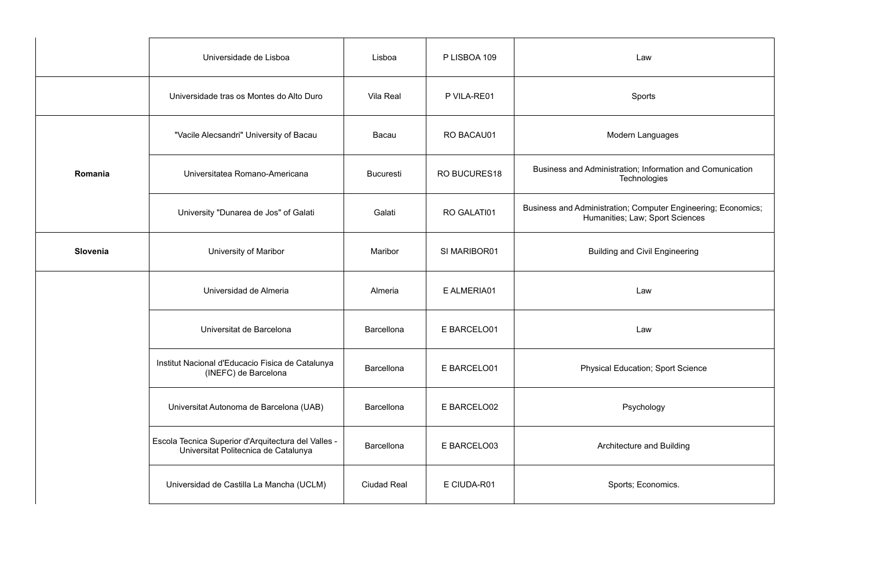|          | Universidade de Lisboa                                                                      | Lisboa             | P LISBOA 109        | Law                                                                                              |  |
|----------|---------------------------------------------------------------------------------------------|--------------------|---------------------|--------------------------------------------------------------------------------------------------|--|
|          | Universidade tras os Montes do Alto Duro                                                    | <b>Vila Real</b>   | P VILA-RE01         | Sports                                                                                           |  |
|          | "Vacile Alecsandri" University of Bacau                                                     | Bacau              | RO BACAU01          | Modern Languages                                                                                 |  |
| Romania  | Universitatea Romano-Americana                                                              | <b>Bucuresti</b>   | <b>RO BUCURES18</b> | Business and Administration; Information and Comunication<br>Technologies                        |  |
|          | University "Dunarea de Jos" of Galati                                                       | Galati             | RO GALATI01         | Business and Administration; Computer Engineering; Economics;<br>Humanities; Law; Sport Sciences |  |
| Slovenia | University of Maribor                                                                       | Maribor            | SI MARIBOR01        | <b>Building and Civil Engineering</b>                                                            |  |
|          | Universidad de Almeria                                                                      | Almeria            | E ALMERIA01         | Law                                                                                              |  |
|          | Universitat de Barcelona                                                                    | Barcellona         | E BARCELO01         | Law                                                                                              |  |
|          | Institut Nacional d'Educacio Fisica de Catalunya<br>(INEFC) de Barcelona                    | <b>Barcellona</b>  | E BARCELO01         | <b>Physical Education; Sport Science</b>                                                         |  |
|          | Universitat Autonoma de Barcelona (UAB)                                                     | <b>Barcellona</b>  | E BARCELO02         | Psychology                                                                                       |  |
|          | Escola Tecnica Superior d'Arquitectura del Valles -<br>Universitat Politecnica de Catalunya | <b>Barcellona</b>  | E BARCELO03         | Architecture and Building                                                                        |  |
|          | Universidad de Castilla La Mancha (UCLM)                                                    | <b>Ciudad Real</b> | E CIUDA-R01         | Sports; Economics.                                                                               |  |
|          |                                                                                             |                    |                     |                                                                                                  |  |

| Law                                                                               |
|-----------------------------------------------------------------------------------|
| Sports                                                                            |
| Modern Languages                                                                  |
| Administration; Information and Comunication<br>Technologies                      |
| ministration; Computer Engineering; Economics;<br>Humanities; Law; Sport Sciences |
| <b>Building and Civil Engineering</b>                                             |
| Law                                                                               |
| Law                                                                               |
| hysical Education; Sport Science                                                  |
| Psychology                                                                        |
| Architecture and Building                                                         |
| Sports; Economics.                                                                |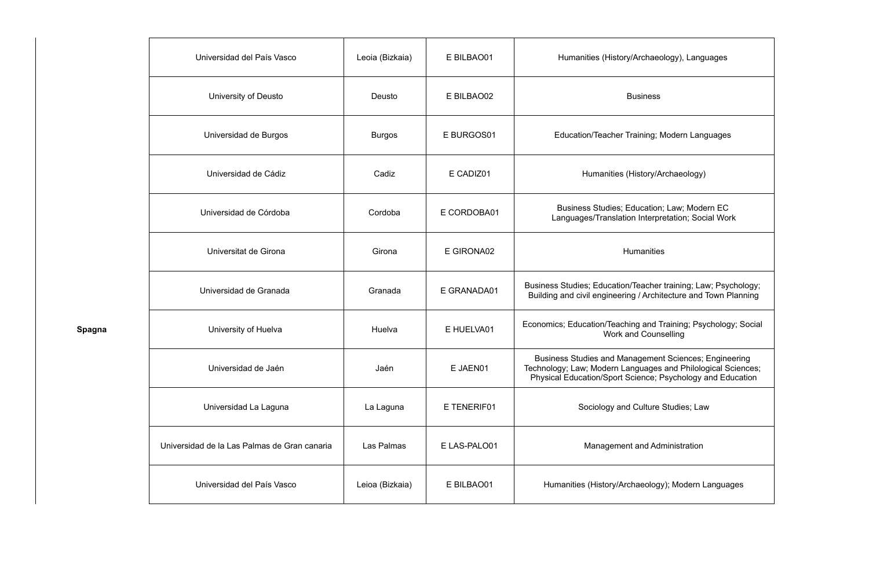**Spagna**

|                      | Universidad del País Vasco                   | Leoia (Bizkaia) | E BILBAO01   | Humanities (History/Archaeology), Languages                                                                                                                                         |
|----------------------|----------------------------------------------|-----------------|--------------|-------------------------------------------------------------------------------------------------------------------------------------------------------------------------------------|
| University of Deusto |                                              | Deusto          | E BILBAO02   | <b>Business</b>                                                                                                                                                                     |
|                      | Universidad de Burgos                        | <b>Burgos</b>   | E BURGOS01   | Education/Teacher Training; Modern Languages                                                                                                                                        |
|                      | Universidad de Cádiz                         | Cadiz           | E CADIZ01    | Humanities (History/Archaeology)                                                                                                                                                    |
|                      | Universidad de Córdoba                       | Cordoba         | E CORDOBA01  | Business Studies; Education; Law; Modern EC<br>Languages/Translation Interpretation; Social Work                                                                                    |
|                      | Universitat de Girona                        | Girona          | E GIRONA02   | <b>Humanities</b>                                                                                                                                                                   |
|                      | Universidad de Granada                       | Granada         | E GRANADA01  | Business Studies; Education/Teacher training; Law; Psychology;<br>Building and civil engineering / Architecture and Town Planning                                                   |
|                      | University of Huelva                         | Huelva          | E HUELVA01   | Economics; Education/Teaching and Training; Psychology; Social<br><b>Work and Counselling</b>                                                                                       |
|                      | Universidad de Jaén                          | Jaén            | E JAEN01     | Business Studies and Management Sciences; Engineering<br>Technology; Law; Modern Languages and Philological Sciences;<br>Physical Education/Sport Science; Psychology and Education |
|                      | Universidad La Laguna                        | La Laguna       | E TENERIF01  | Sociology and Culture Studies; Law                                                                                                                                                  |
|                      | Universidad de la Las Palmas de Gran canaria | Las Palmas      | E LAS-PALO01 | <b>Management and Administration</b>                                                                                                                                                |
|                      | Universidad del País Vasco                   | Leioa (Bizkaia) | E BILBAO01   | Humanities (History/Archaeology); Modern Languages                                                                                                                                  |
|                      |                                              |                 |              |                                                                                                                                                                                     |

| Humanities (History/Archaeology), Languages                                                                                                                                                |
|--------------------------------------------------------------------------------------------------------------------------------------------------------------------------------------------|
| <b>Business</b>                                                                                                                                                                            |
| Education/Teacher Training; Modern Languages                                                                                                                                               |
| Humanities (History/Archaeology)                                                                                                                                                           |
| Business Studies; Education; Law; Modern EC<br>Languages/Translation Interpretation; Social Work                                                                                           |
| <b>Humanities</b>                                                                                                                                                                          |
| Business Studies; Education/Teacher training; Law; Psychology;<br>Building and civil engineering / Architecture and Town Planning                                                          |
| Economics; Education/Teaching and Training; Psychology; Social<br><b>Work and Counselling</b>                                                                                              |
| <b>Business Studies and Management Sciences; Engineering</b><br>Technology; Law; Modern Languages and Philological Sciences;<br>Physical Education/Sport Science; Psychology and Education |
| Sociology and Culture Studies; Law                                                                                                                                                         |
| Management and Administration                                                                                                                                                              |
| Humanities (History/Archaeology); Modern Languages                                                                                                                                         |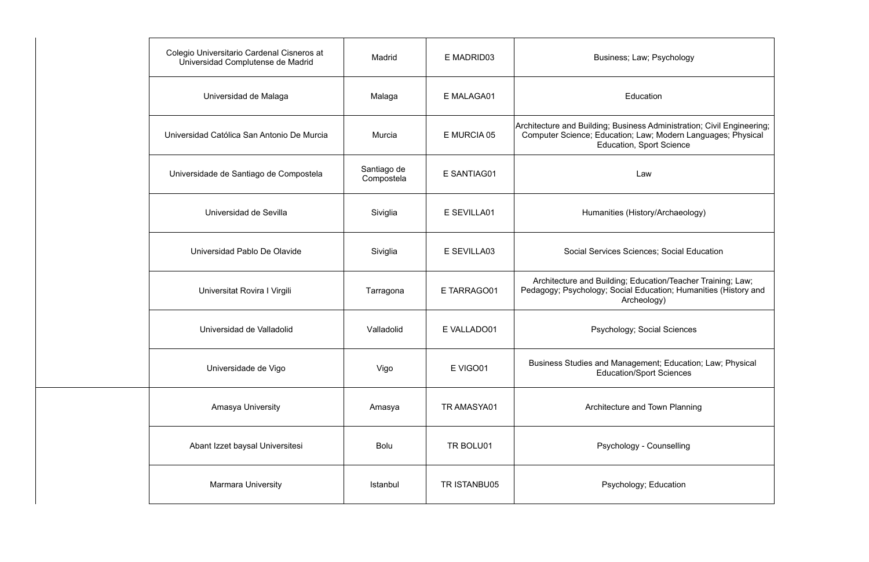| Colegio Universitario Cardenal Cisneros at<br>Madrid<br>Universidad Complutense de Madrid |                           | E MADRID03   | Business; Law; Psychology                                                                                                                                                 |
|-------------------------------------------------------------------------------------------|---------------------------|--------------|---------------------------------------------------------------------------------------------------------------------------------------------------------------------------|
| Universidad de Malaga                                                                     | Malaga                    | E MALAGA01   | Education                                                                                                                                                                 |
| Universidad Católica San Antonio De Murcia                                                | Murcia                    | E MURCIA 05  | Architecture and Building; Business Administration; Civil Engineering;<br>Computer Science; Education; Law; Modern Languages; Physical<br><b>Education, Sport Science</b> |
| Universidade de Santiago de Compostela                                                    | Santiago de<br>Compostela | E SANTIAG01  | Law                                                                                                                                                                       |
| Universidad de Sevilla                                                                    | Siviglia                  | E SEVILLA01  | Humanities (History/Archaeology)                                                                                                                                          |
| Universidad Pablo De Olavide                                                              | Siviglia                  | E SEVILLA03  | Social Services Sciences; Social Education                                                                                                                                |
| Universitat Rovira I Virgili                                                              | Tarragona                 | E TARRAGO01  | Architecture and Building; Education/Teacher Training; Law;<br>Pedagogy; Psychology; Social Education; Humanities (History and<br>Archeology)                             |
| Universidad de Valladolid                                                                 | Valladolid                | E VALLADO01  | Psychology; Social Sciences                                                                                                                                               |
| Universidade de Vigo                                                                      | Vigo                      | E VIGO01     | Business Studies and Management; Education; Law; Physical<br><b>Education/Sport Sciences</b>                                                                              |
| Amasya University                                                                         | Amasya                    | TR AMASYA01  | Architecture and Town Planning                                                                                                                                            |
| Abant Izzet baysal Universitesi                                                           | <b>Bolu</b>               | TR BOLU01    | Psychology - Counselling                                                                                                                                                  |
| <b>Marmara University</b>                                                                 | Istanbul                  | TR ISTANBU05 | Psychology; Education                                                                                                                                                     |